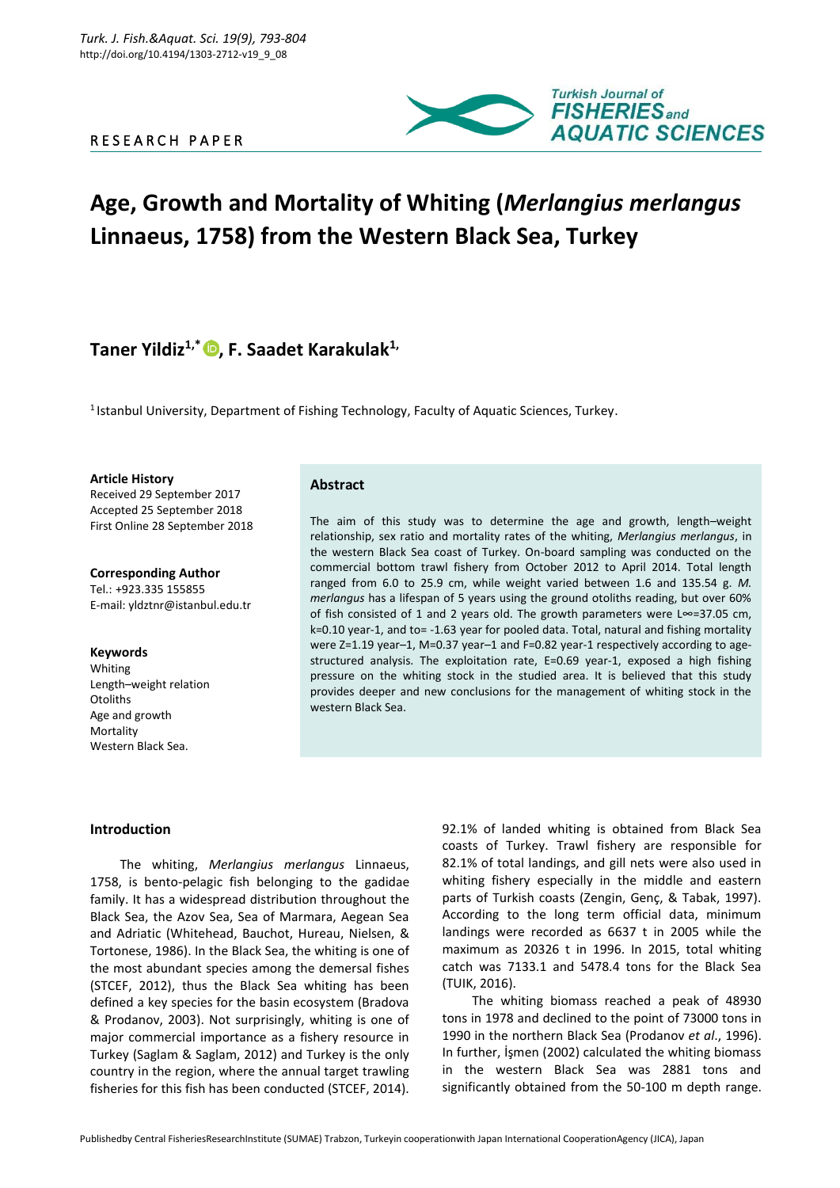R E S E A R C H P A P E R



# **Age, Growth and Mortality of Whiting (***Merlangius merlangus* **Linnaeus, 1758) from the Western Black Sea, Turkey**

# **Taner Yildiz1,\* , F. Saadet Karakulak1,**

<sup>1</sup> Istanbul University, Department of Fishing Technology, Faculty of Aquatic Sciences, Turkey.

**Article History**

Received 29 September 2017 Accepted 25 September 2018 First Online 28 September 2018

**Corresponding Author** Tel.: +923.335 155855 E-mail: yldztnr@istanbul.edu.tr

#### **Keywords**

Whiting Length–weight relation **Otoliths** Age and growth **Mortality** Western Black Sea.

# **Abstract**

The aim of this study was to determine the age and growth, length–weight relationship, sex ratio and mortality rates of the whiting, *Merlangius merlangus*, in the western Black Sea coast of Turkey. On-board sampling was conducted on the commercial bottom trawl fishery from October 2012 to April 2014. Total length ranged from 6.0 to 25.9 cm, while weight varied between 1.6 and 135.54 g. *M. merlangus* has a lifespan of 5 years using the ground otoliths reading, but over 60% of fish consisted of 1 and 2 years old. The growth parameters were L∞=37.05 cm, k=0.10 year-1, and to= -1.63 year for pooled data. Total, natural and fishing mortality were Z=1.19 year–1, M=0.37 year–1 and F=0.82 year-1 respectively according to agestructured analysis. The exploitation rate, E=0.69 year-1, exposed a high fishing pressure on the whiting stock in the studied area. It is believed that this study provides deeper and new conclusions for the management of whiting stock in the western Black Sea.

#### **Introduction**

The whiting, *Merlangius merlangus* Linnaeus, 1758, is bento-pelagic fish belonging to the gadidae family. It has a widespread distribution throughout the Black Sea, the Azov Sea, Sea of Marmara, Aegean Sea and Adriatic (Whitehead, Bauchot, Hureau, Nielsen, & Tortonese, 1986). In the Black Sea, the whiting is one of the most abundant species among the demersal fishes (STCEF, 2012), thus the Black Sea whiting has been defined a key species for the basin ecosystem (Bradova & Prodanov, 2003). Not surprisingly, whiting is one of major commercial importance as a fishery resource in Turkey (Saglam & Saglam, 2012) and Turkey is the only country in the region, where the annual target trawling fisheries for this fish has been conducted (STCEF, 2014).

92.1% of landed whiting is obtained from Black Sea coasts of Turkey. Trawl fishery are responsible for 82.1% of total landings, and gill nets were also used in whiting fishery especially in the middle and eastern parts of Turkish coasts (Zengin, Genç, & Tabak, 1997). According to the long term official data, minimum landings were recorded as 6637 t in 2005 while the maximum as 20326 t in 1996. In 2015, total whiting catch was 7133.1 and 5478.4 tons for the Black Sea (TUIK, 2016).

The whiting biomass reached a peak of 48930 tons in 1978 and declined to the point of 73000 tons in 1990 in the northern Black Sea (Prodanov *et al*., 1996). In further, İşmen (2002) calculated the whiting biomass in the western Black Sea was 2881 tons and significantly obtained from the 50-100 m depth range.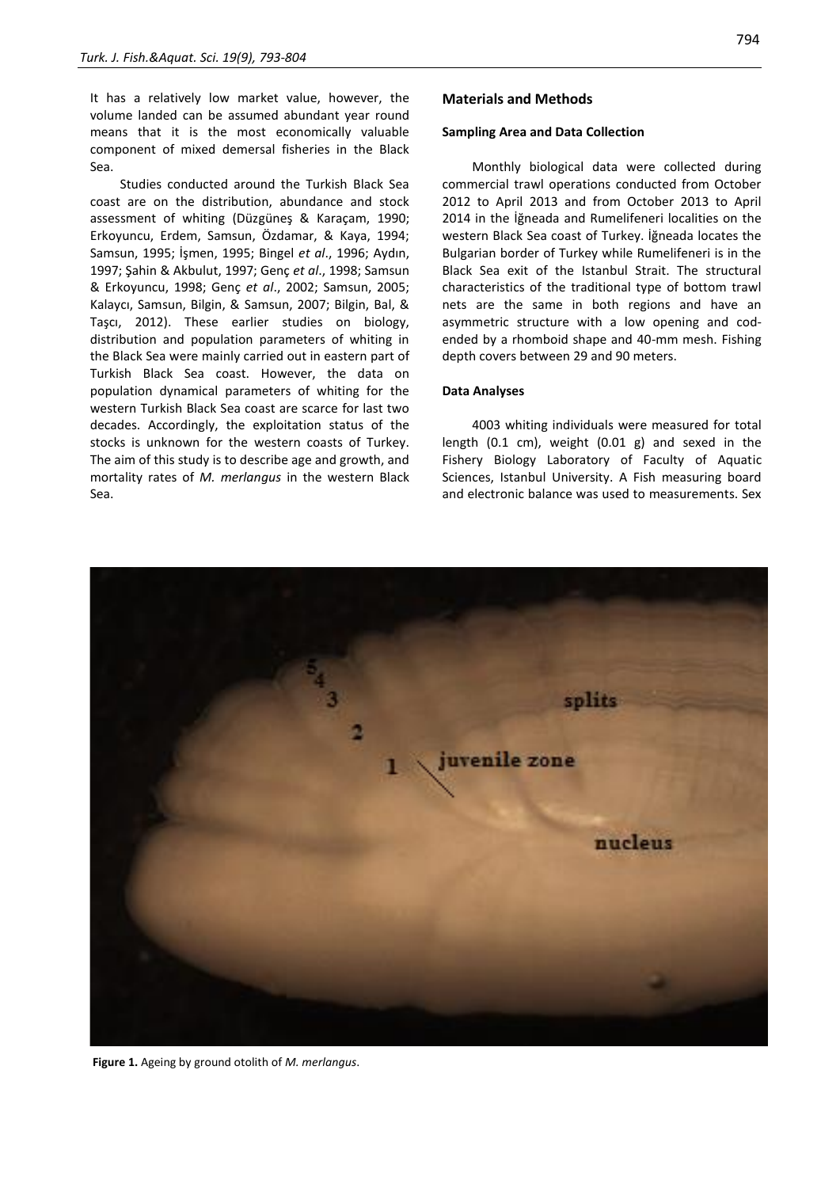It has a relatively low market value, however, the volume landed can be assumed abundant year round means that it is the most economically valuable component of mixed demersal fisheries in the Black Sea.

Studies conducted around the Turkish Black Sea coast are on the distribution, abundance and stock assessment of whiting (Düzgüneş & Karaçam, 1990; Erkoyuncu, Erdem, Samsun, Özdamar, & Kaya, 1994; Samsun, 1995; İşmen, 1995; Bingel *et al*., 1996; Aydın, 1997; Şahin & Akbulut, 1997; Genç *et al*., 1998; Samsun & Erkoyuncu, 1998; Genç *et al*., 2002; Samsun, 2005; Kalaycı, Samsun, Bilgin, & Samsun, 2007; Bilgin, Bal, & Taşcı, 2012). These earlier studies on biology, distribution and population parameters of whiting in the Black Sea were mainly carried out in eastern part of Turkish Black Sea coast. However, the data on population dynamical parameters of whiting for the western Turkish Black Sea coast are scarce for last two decades. Accordingly, the exploitation status of the stocks is unknown for the western coasts of Turkey. The aim of this study is to describe age and growth, and mortality rates of *M. merlangus* in the western Black Sea.

# **Materials and Methods**

#### **Sampling Area and Data Collection**

Monthly biological data were collected during commercial trawl operations conducted from October 2012 to April 2013 and from October 2013 to April 2014 in the İğneada and Rumelifeneri localities on the western Black Sea coast of Turkey. İğneada locates the Bulgarian border of Turkey while Rumelifeneri is in the Black Sea exit of the Istanbul Strait. The structural characteristics of the traditional type of bottom trawl nets are the same in both regions and have an asymmetric structure with a low opening and codended by a rhomboid shape and 40-mm mesh. Fishing depth covers between 29 and 90 meters.

# **Data Analyses**

4003 whiting individuals were measured for total length (0.1 cm), weight (0.01 g) and sexed in the Fishery Biology Laboratory of Faculty of Aquatic Sciences, Istanbul University. A Fish measuring board and electronic balance was used to measurements. Sex



**Figure 1.** Ageing by ground otolith of *M. merlangus*.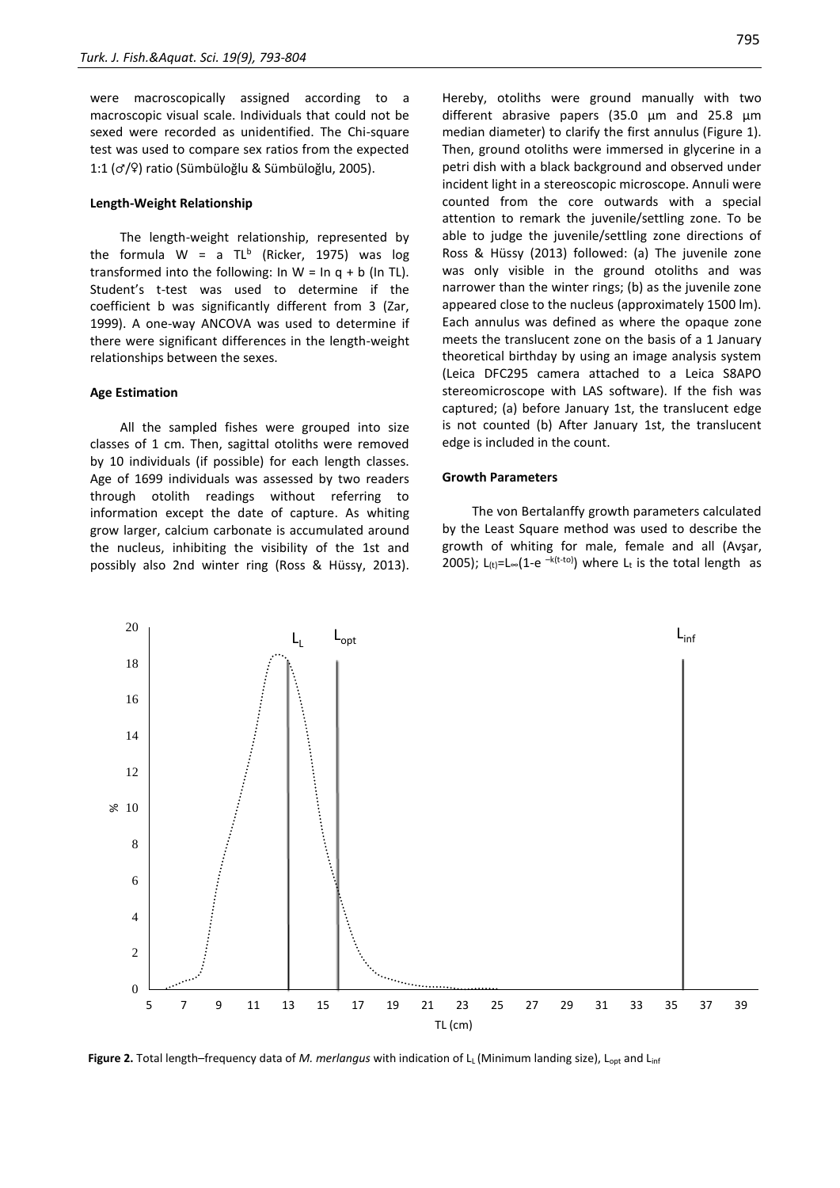were macroscopically assigned according to a macroscopic visual scale. Individuals that could not be sexed were recorded as unidentified. The Chi-square test was used to compare sex ratios from the expected 1:1 (♂/♀) ratio (Sümbüloğlu & Sümbüloğlu, 2005).

#### **Length-Weight Relationship**

The length-weight relationship, represented by the formula W = a TL<sup>b</sup> (Ricker, 1975) was log transformed into the following: In  $W = \ln q + b$  (In TL). Student's t-test was used to determine if the coefficient b was significantly different from 3 (Zar, 1999). A one-way ANCOVA was used to determine if there were significant differences in the length-weight relationships between the sexes.

#### **Age Estimation**

20

All the sampled fishes were grouped into size classes of 1 cm. Then, sagittal otoliths were removed by 10 individuals (if possible) for each length classes. Age of 1699 individuals was assessed by two readers through otolith readings without referring to information except the date of capture. As whiting grow larger, calcium carbonate is accumulated around the nucleus, inhibiting the visibility of the 1st and possibly also 2nd winter ring (Ross & Hüssy, 2013). Hereby, otoliths were ground manually with two different abrasive papers (35.0 µm and 25.8 µm median diameter) to clarify the first annulus (Figure 1). Then, ground otoliths were immersed in glycerine in a petri dish with a black background and observed under incident light in a stereoscopic microscope. Annuli were counted from the core outwards with a special attention to remark the juvenile/settling zone. To be able to judge the juvenile/settling zone directions of Ross & Hüssy (2013) followed: (a) The juvenile zone was only visible in the ground otoliths and was narrower than the winter rings; (b) as the juvenile zone appeared close to the nucleus (approximately 1500 lm). Each annulus was defined as where the opaque zone meets the translucent zone on the basis of a 1 January theoretical birthday by using an image analysis system (Leica DFC295 camera attached to a Leica S8APO stereomicroscope with LAS software). If the fish was captured; (a) before January 1st, the translucent edge is not counted (b) After January 1st, the translucent edge is included in the count.

#### **Growth Parameters**

The von Bertalanffy growth parameters calculated by the Least Square method was used to describe the growth of whiting for male, female and all (Avşar, 2005); L<sub>(t)</sub>=L∞(1-e<sup>-k(t-to)</sup>) where L<sub>t</sub> is the total length as

 $L_{\rm L}$  is  $L_{\rm opt}$  inf  $L_{\rm int}$ 18 16 14 12  $\geqslant$  10 8 6 4  $\mathcal{D}$  $\Omega$ 5 7 9 11 13 15 17 19 21 23 25 27 29 31 33 35 37 39 TL (cm)

**Figure 2.** Total length–frequency data of *M. merlangus* with indication of L<sub>L</sub> (Minimum landing size), L<sub>opt</sub> and L<sub>inf</sub>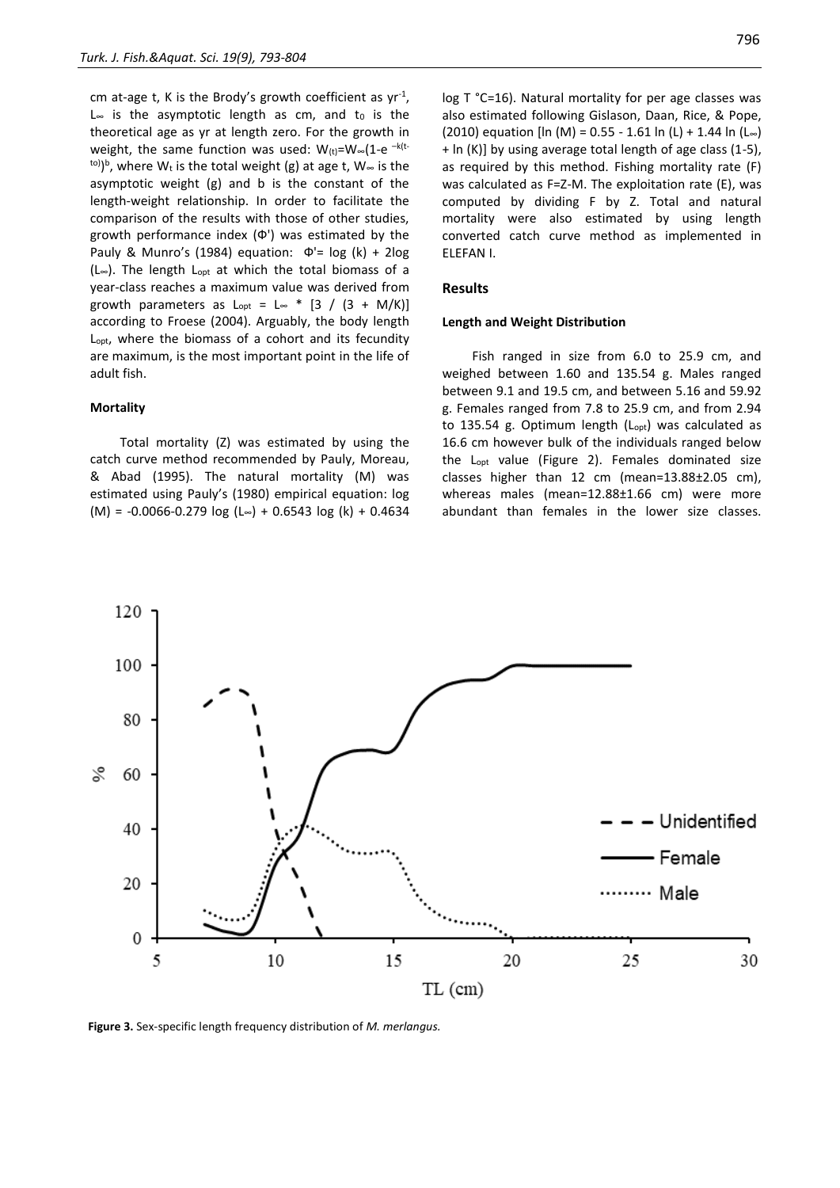cm at-age t, K is the Brody's growth coefficient as  $yr^{-1}$ , L∞ is the asymptotic length as cm, and to is the theoretical age as yr at length zero. For the growth in weight, the same function was used:  $W_{(t)}$ =W∞(1-e <sup>-k(t-</sup> <sup>to)</sup>)<sup>b</sup>, where W<sub>t</sub> is the total weight (g) at age t, W∞ is the asymptotic weight (g) and b is the constant of the length-weight relationship. In order to facilitate the comparison of the results with those of other studies, growth performance index (Ф') was estimated by the Pauly & Munro's (1984) equation:  $\Phi' = \log (k) + 2\log$ (L∞). The length Lopt at which the total biomass of a year-class reaches a maximum value was derived from growth parameters as  $L_{\text{out}} = L_{\infty} * [3 / (3 + M/K)]$ according to Froese (2004). Arguably, the body length Lopt, where the biomass of a cohort and its fecundity are maximum, is the most important point in the life of adult fish.

# **Mortality**

Total mortality (Z) was estimated by using the catch curve method recommended by Pauly, Moreau, & Abad (1995). The natural mortality (M) was estimated using Pauly's (1980) empirical equation: log  $(M) = -0.0066 - 0.279$  log (L∞) + 0.6543 log (k) + 0.4634

log T °C=16). Natural mortality for per age classes was also estimated following Gislason, Daan, Rice, & Pope, (2010) equation [ln (M) = 0.55 - 1.61 ln (L) + 1.44 ln (L∞) + ln (K)] by using average total length of age class (1-5), as required by this method. Fishing mortality rate (F) was calculated as F=Z-M. The exploitation rate (E), was computed by dividing F by Z. Total and natural mortality were also estimated by using length converted catch curve method as implemented in ELEFAN I.

#### **Results**

#### **Length and Weight Distribution**

Fish ranged in size from 6.0 to 25.9 cm, and weighed between 1.60 and 135.54 g. Males ranged between 9.1 and 19.5 cm, and between 5.16 and 59.92 g. Females ranged from 7.8 to 25.9 cm, and from 2.94 to 135.54 g. Optimum length  $(L_{opt})$  was calculated as 16.6 cm however bulk of the individuals ranged below the Lopt value (Figure 2). Females dominated size classes higher than 12 cm (mean=13.88±2.05 cm), whereas males (mean=12.88±1.66 cm) were more abundant than females in the lower size classes.



**Figure 3.** Sex-specific length frequency distribution of *M. merlangus.*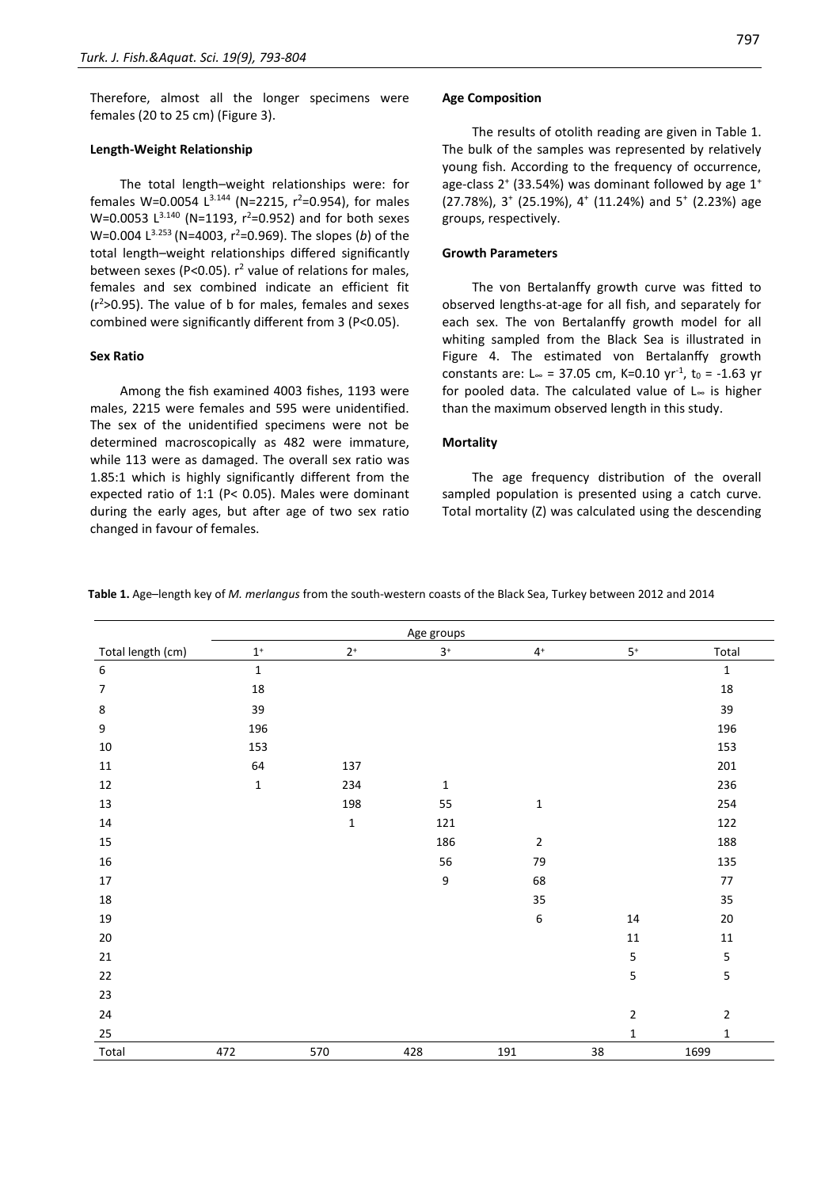Therefore, almost all the longer specimens were females (20 to 25 cm) (Figure 3).

#### **Length-Weight Relationship**

The total length–weight relationships were: for females W=0.0054  $L^{3.144}$  (N=2215, r<sup>2</sup>=0.954), for males W=0.0053  $L^{3.140}$  (N=1193, r<sup>2</sup>=0.952) and for both sexes W=0.004 L<sup>3.253</sup> (N=4003, r<sup>2</sup>=0.969). The slopes (*b*) of the total length–weight relationships differed significantly between sexes (P<0.05).  $r^2$  value of relations for males, females and sex combined indicate an efficient fit  $(r^2>0.95)$ . The value of b for males, females and sexes combined were significantly different from 3 (P<0.05).

#### **Sex Ratio**

Among the fish examined 4003 fishes, 1193 were males, 2215 were females and 595 were unidentified. The sex of the unidentified specimens were not be determined macroscopically as 482 were immature, while 113 were as damaged. The overall sex ratio was 1.85:1 which is highly significantly different from the expected ratio of 1:1 (P< 0.05). Males were dominant during the early ages, but after age of two sex ratio changed in favour of females.

#### **Age Composition**

The results of otolith reading are given in Table 1. The bulk of the samples was represented by relatively young fish. According to the frequency of occurrence, age-class 2<sup>+</sup> (33.54%) was dominant followed by age 1<sup>+</sup> (27.78%), 3<sup>+</sup> (25.19%), 4<sup>+</sup> (11.24%) and 5<sup>+</sup> (2.23%) age groups, respectively.

# **Growth Parameters**

The von Bertalanffy growth curve was fitted to observed lengths-at-age for all fish, and separately for each sex. The von Bertalanffy growth model for all whiting sampled from the Black Sea is illustrated in Figure 4. The estimated von Bertalanffy growth constants are: L∞ = 37.05 cm, K=0.10 yr<sup>-1</sup>, t<sub>0</sub> = -1.63 yr for pooled data. The calculated value of L<sup>∞</sup> is higher than the maximum observed length in this study.

#### **Mortality**

The age frequency distribution of the overall sampled population is presented using a catch curve. Total mortality (Z) was calculated using the descending

**Table 1.** Age–length key of *M. merlangus* from the south-western coasts of the Black Sea, Turkey between 2012 and 2014

| Age groups        |                |             |                  |                  |                            |               |  |
|-------------------|----------------|-------------|------------------|------------------|----------------------------|---------------|--|
| Total length (cm) | $\mathbf{1}^+$ | $2^+$       | $3^+$            | $4^+$            | $5^{\scriptscriptstyle +}$ | Total         |  |
| $\boldsymbol{6}$  | $\mathbf 1$    |             |                  |                  |                            | $\mathbf 1$   |  |
| $\boldsymbol{7}$  | 18             |             |                  |                  |                            | $18\,$        |  |
| 8                 | 39             |             |                  |                  |                            | 39            |  |
| $\boldsymbol{9}$  | 196            |             |                  |                  |                            | 196           |  |
| $10\,$            | 153            |             |                  |                  |                            | 153           |  |
| $11\,$            | 64             | 137         |                  |                  |                            | 201           |  |
| 12                | $\mathbf 1$    | 234         | $\mathbf 1$      |                  |                            | 236           |  |
| 13                |                | 198         | 55               | $\mathbf 1$      |                            | 254           |  |
| 14                |                | $\mathbf 1$ | 121              |                  |                            | 122           |  |
| 15                |                |             | 186              | $\overline{2}$   |                            | 188           |  |
| $16\,$            |                |             | 56               | 79               |                            | 135           |  |
| $17\,$            |                |             | $\boldsymbol{9}$ | 68               |                            | $77\,$        |  |
| 18                |                |             |                  | 35               |                            | 35            |  |
| 19                |                |             |                  | $\boldsymbol{6}$ | 14                         | $20\,$        |  |
| 20                |                |             |                  |                  | 11                         | 11            |  |
| 21                |                |             |                  |                  | 5                          | ${\mathsf 5}$ |  |
| 22                |                |             |                  |                  | 5                          | 5             |  |
| 23                |                |             |                  |                  |                            |               |  |
| 24                |                |             |                  |                  | $\overline{2}$             | $\mathbf 2$   |  |
| 25                |                |             |                  |                  | $\mathbf{1}$               | $\mathbf 1$   |  |
| Total             | 472            | 570         | 428              | 191              | 38                         | 1699          |  |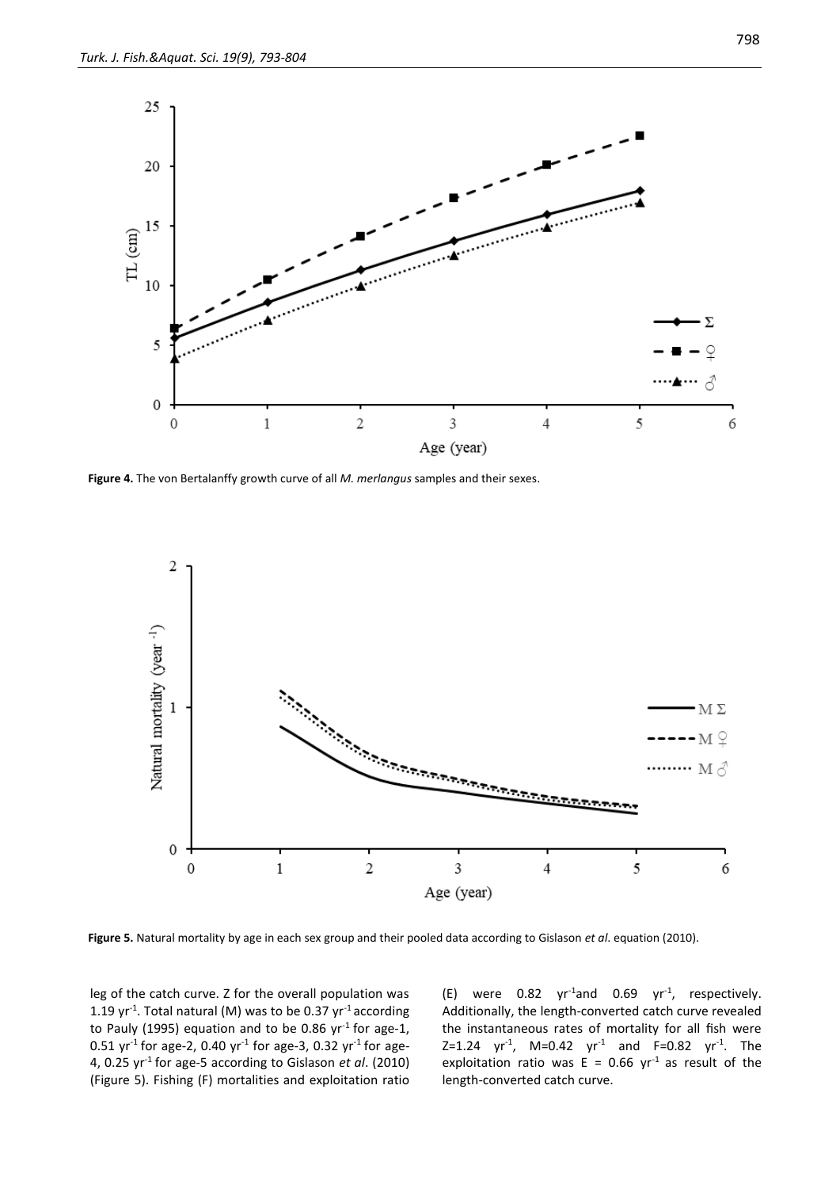

**Figure 4.** The von Bertalanffy growth curve of all *M. merlangus* samples and their sexes.



**Figure 5.** Natural mortality by age in each sex group and their pooled data according to Gislason *et al*. equation (2010).

leg of the catch curve. Z for the overall population was 1.19  $\gamma r^{-1}$ . Total natural (M) was to be 0.37  $\gamma r^{-1}$  according to Pauly (1995) equation and to be 0.86  $yr^{-1}$  for age-1, 0.51 yr<sup>-1</sup> for age-2, 0.40 yr<sup>-1</sup> for age-3, 0.32 yr<sup>-1</sup> for age-4, 0.25 yr-1 for age-5 according to Gislason *et al*. (2010) (Figure 5). Fishing (F) mortalities and exploitation ratio

(E) were  $0.82 \, yr^{-1}$ and  $0.69 \, yr^{-1}$ , respectively. Additionally, the length-converted catch curve revealed the instantaneous rates of mortality for all fish were Z=1.24  $yr^{-1}$ , M=0.42  $yr^{-1}$  and F=0.82  $yr^{-1}$ . The exploitation ratio was  $E = 0.66$  yr<sup>1</sup> as result of the length-converted catch curve.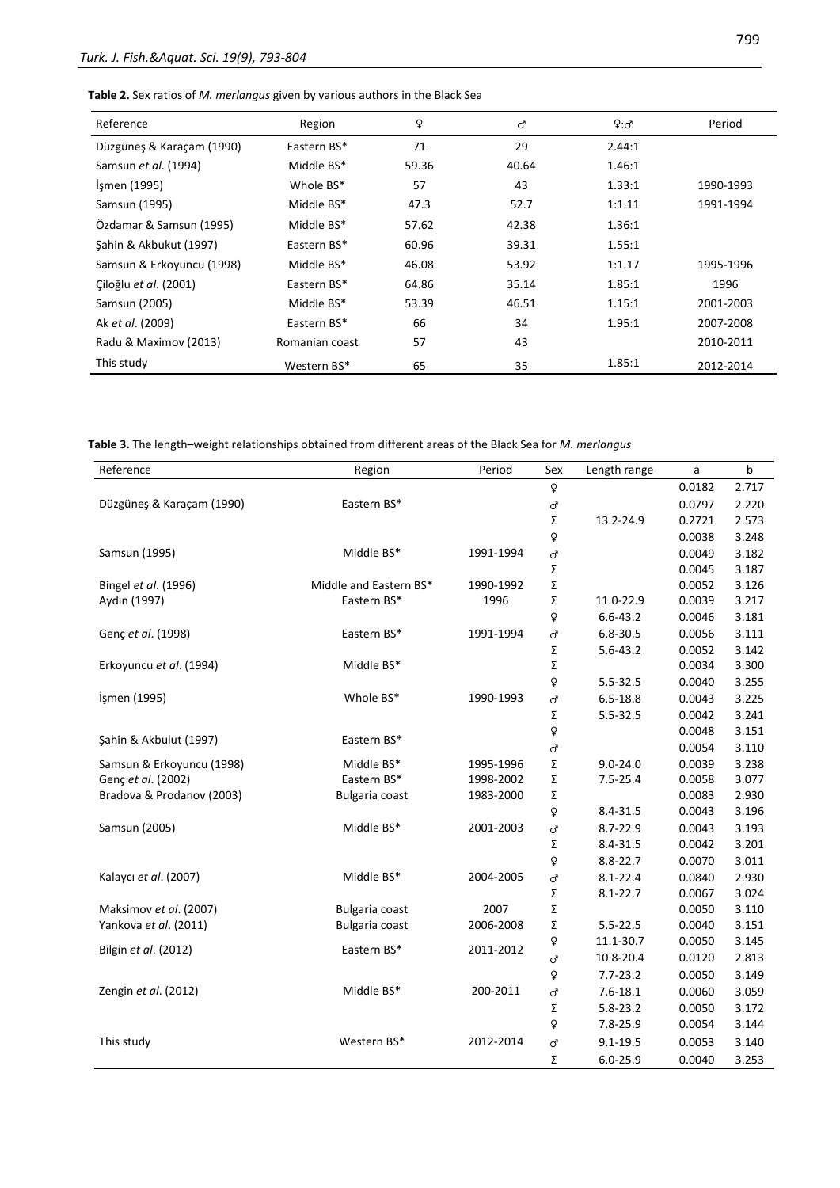**Table 2.** Sex ratios of *M. merlangus* given by various authors in the Black Sea

| Reference                 | Region         | ¥     | ď     | 9:5    | Period    |
|---------------------------|----------------|-------|-------|--------|-----------|
| Düzgüneş & Karaçam (1990) | Eastern BS*    | 71    | 29    | 2.44:1 |           |
| Samsun et al. (1994)      | Middle BS*     | 59.36 | 40.64 | 1.46:1 |           |
| Ismen (1995)              | Whole BS*      | 57    | 43    | 1.33:1 | 1990-1993 |
| Samsun (1995)             | Middle BS*     | 47.3  | 52.7  | 1:1.11 | 1991-1994 |
| Özdamar & Samsun (1995)   | Middle BS*     | 57.62 | 42.38 | 1.36:1 |           |
| Sahin & Akbukut (1997)    | Eastern BS*    | 60.96 | 39.31 | 1.55:1 |           |
| Samsun & Erkoyuncu (1998) | Middle BS*     | 46.08 | 53.92 | 1:1.17 | 1995-1996 |
| Ciloğlu et al. (2001)     | Eastern BS*    | 64.86 | 35.14 | 1.85:1 | 1996      |
| Samsun (2005)             | Middle BS*     | 53.39 | 46.51 | 1.15:1 | 2001-2003 |
| Ak et al. (2009)          | Eastern BS*    | 66    | 34    | 1.95:1 | 2007-2008 |
| Radu & Maximov (2013)     | Romanian coast | 57    | 43    |        | 2010-2011 |
| This study                | Western BS*    | 65    | 35    | 1.85:1 | 2012-2014 |

**Table 3.** The length–weight relationships obtained from different areas of the Black Sea for *M. merlangus*

| Reference                 | Region                 | Period    | Sex | Length range | a      | b     |
|---------------------------|------------------------|-----------|-----|--------------|--------|-------|
|                           |                        |           | Q   |              | 0.0182 | 2.717 |
| Düzgüneş & Karaçam (1990) | Eastern BS*            |           | ď   |              | 0.0797 | 2.220 |
|                           |                        |           | Σ   | 13.2-24.9    | 0.2721 | 2.573 |
|                           |                        |           | Q   |              | 0.0038 | 3.248 |
| Samsun (1995)             | Middle BS*             | 1991-1994 | ď   |              | 0.0049 | 3.182 |
|                           |                        |           | Σ   |              | 0.0045 | 3.187 |
| Bingel et al. (1996)      | Middle and Eastern BS* | 1990-1992 | Σ   |              | 0.0052 | 3.126 |
| Aydın (1997)              | Eastern BS*            | 1996      | Σ   | 11.0-22.9    | 0.0039 | 3.217 |
|                           |                        |           | Q   | $6.6 - 43.2$ | 0.0046 | 3.181 |
| Genç et al. (1998)        | Eastern BS*            | 1991-1994 | ď   | $6.8 - 30.5$ | 0.0056 | 3.111 |
|                           |                        |           | Σ   | $5.6 - 43.2$ | 0.0052 | 3.142 |
| Erkoyuncu et al. (1994)   | Middle BS*             |           | Σ   |              | 0.0034 | 3.300 |
|                           |                        |           | ¥   | 5.5-32.5     | 0.0040 | 3.255 |
| İşmen (1995)              | Whole BS*              | 1990-1993 | ď   | $6.5 - 18.8$ | 0.0043 | 3.225 |
|                           |                        |           | Σ   | $5.5 - 32.5$ | 0.0042 | 3.241 |
| Şahin & Akbulut (1997)    | Eastern BS*            |           | ¥   |              | 0.0048 | 3.151 |
|                           |                        |           | ď   |              | 0.0054 | 3.110 |
| Samsun & Erkoyuncu (1998) | Middle BS*             | 1995-1996 | Σ   | $9.0 - 24.0$ | 0.0039 | 3.238 |
| Genç et al. (2002)        | Eastern BS*            | 1998-2002 | Σ   | $7.5 - 25.4$ | 0.0058 | 3.077 |
| Bradova & Prodanov (2003) | Bulgaria coast         | 1983-2000 | Σ   |              | 0.0083 | 2.930 |
|                           |                        |           | Q   | 8.4-31.5     | 0.0043 | 3.196 |
| Samsun (2005)             | Middle BS*             | 2001-2003 | ď   | 8.7-22.9     | 0.0043 | 3.193 |
|                           |                        |           | Σ   | 8.4-31.5     | 0.0042 | 3.201 |
|                           |                        |           | Q   | $8.8 - 22.7$ | 0.0070 | 3.011 |
| Kalaycı et al. (2007)     | Middle BS*             | 2004-2005 | ď   | $8.1 - 22.4$ | 0.0840 | 2.930 |
|                           |                        |           | Σ   | $8.1 - 22.7$ | 0.0067 | 3.024 |
| Maksimov et al. (2007)    | <b>Bulgaria coast</b>  | 2007      | Σ   |              | 0.0050 | 3.110 |
| Yankova et al. (2011)     | Bulgaria coast         | 2006-2008 | Σ   | $5.5 - 22.5$ | 0.0040 | 3.151 |
| Bilgin et al. (2012)      | Eastern BS*            | 2011-2012 | Q   | 11.1-30.7    | 0.0050 | 3.145 |
|                           |                        |           | ď   | 10.8-20.4    | 0.0120 | 2.813 |
|                           |                        |           | ç   | $7.7 - 23.2$ | 0.0050 | 3.149 |
| Zengin et al. (2012)      | Middle BS*             | 200-2011  | ď   | $7.6 - 18.1$ | 0.0060 | 3.059 |
|                           |                        |           | Σ   | $5.8 - 23.2$ | 0.0050 | 3.172 |
|                           |                        |           | Q   | $7.8 - 25.9$ | 0.0054 | 3.144 |
| This study                | Western BS*            | 2012-2014 | ď   | $9.1 - 19.5$ | 0.0053 | 3.140 |
|                           |                        |           | Σ   | $6.0 - 25.9$ | 0.0040 | 3.253 |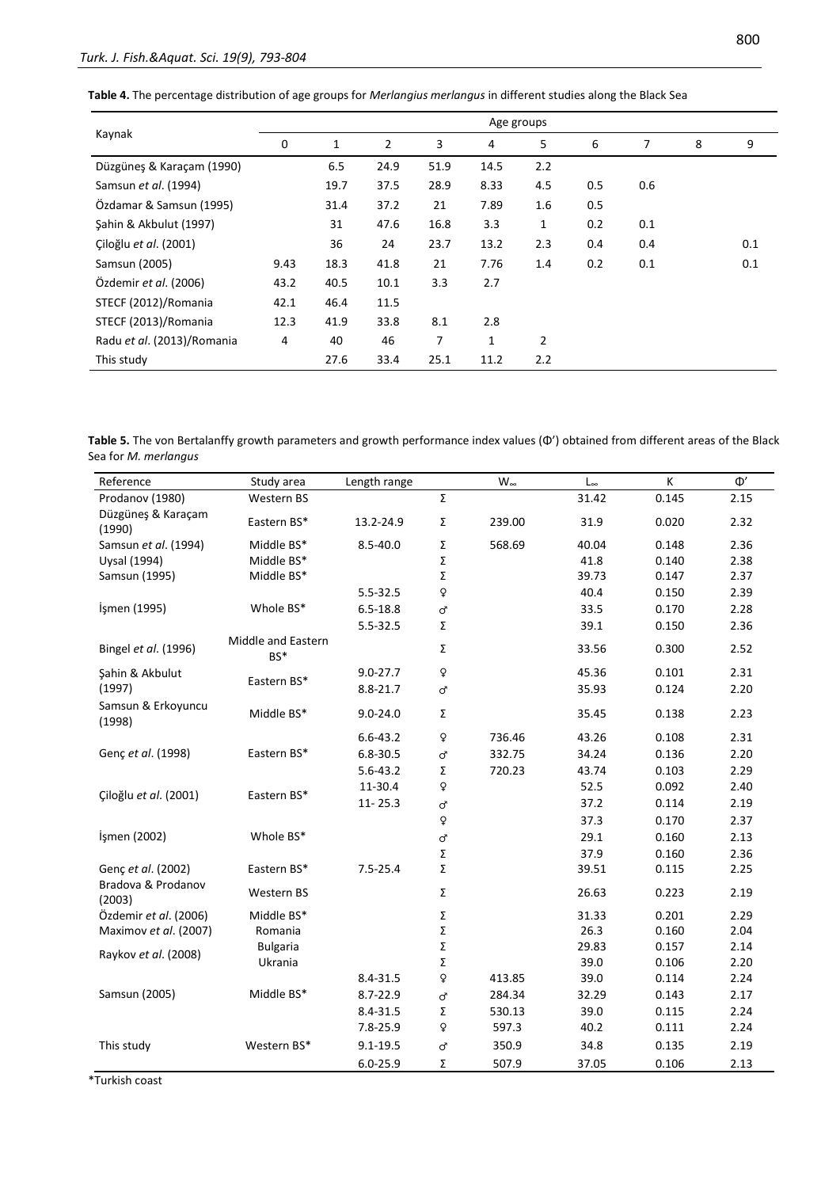**Table 4.** The percentage distribution of age groups for *Merlangius merlangus* in different studies along the Black Sea

|                            |      |      |      |      | Age groups   |     |     |     |   |     |
|----------------------------|------|------|------|------|--------------|-----|-----|-----|---|-----|
| Kaynak                     | 0    | 1    | 2    | 3    | 4            | 5   | 6   | 7   | 8 | 9   |
| Düzgüneş & Karaçam (1990)  |      | 6.5  | 24.9 | 51.9 | 14.5         | 2.2 |     |     |   |     |
| Samsun et al. (1994)       |      | 19.7 | 37.5 | 28.9 | 8.33         | 4.5 | 0.5 | 0.6 |   |     |
| Özdamar & Samsun (1995)    |      | 31.4 | 37.2 | 21   | 7.89         | 1.6 | 0.5 |     |   |     |
| Şahin & Akbulut (1997)     |      | 31   | 47.6 | 16.8 | 3.3          | 1   | 0.2 | 0.1 |   |     |
| Çiloğlu et al. (2001)      |      | 36   | 24   | 23.7 | 13.2         | 2.3 | 0.4 | 0.4 |   | 0.1 |
| Samsun (2005)              | 9.43 | 18.3 | 41.8 | 21   | 7.76         | 1.4 | 0.2 | 0.1 |   | 0.1 |
| Özdemir et al. (2006)      | 43.2 | 40.5 | 10.1 | 3.3  | 2.7          |     |     |     |   |     |
| STECF (2012)/Romania       | 42.1 | 46.4 | 11.5 |      |              |     |     |     |   |     |
| STECF (2013)/Romania       | 12.3 | 41.9 | 33.8 | 8.1  | 2.8          |     |     |     |   |     |
| Radu et al. (2013)/Romania | 4    | 40   | 46   | 7    | $\mathbf{1}$ | 2   |     |     |   |     |
| This study                 |      | 27.6 | 33.4 | 25.1 | 11.2         | 2.2 |     |     |   |     |

| Table 5. The von Bertalanffy growth parameters and growth performance index values ( $\Phi'$ ) obtained from different areas of the Black |  |
|-------------------------------------------------------------------------------------------------------------------------------------------|--|
| Sea for M. merlangus                                                                                                                      |  |

| Reference                    | Study area                | Length range |           | $W_{\infty}$ | $L_{\infty}$ | К     | $\Phi'$ |
|------------------------------|---------------------------|--------------|-----------|--------------|--------------|-------|---------|
| Prodanov (1980)              | Western BS                |              | Σ         |              | 31.42        | 0.145 | 2.15    |
| Düzgüneş & Karaçam<br>(1990) | Eastern BS*               | 13.2-24.9    | Σ         | 239.00       | 31.9         | 0.020 | 2.32    |
| Samsun et al. (1994)         | Middle BS*                | $8.5 - 40.0$ | Σ         | 568.69       | 40.04        | 0.148 | 2.36    |
| Uysal (1994)                 | Middle BS*                |              | Σ         |              | 41.8         | 0.140 | 2.38    |
| Samsun (1995)                | Middle BS*                |              | Σ         |              | 39.73        | 0.147 | 2.37    |
|                              |                           | $5.5 - 32.5$ | Q         |              | 40.4         | 0.150 | 2.39    |
| İşmen (1995)                 | Whole BS*                 | $6.5 - 18.8$ | $\sigma$  |              | 33.5         | 0.170 | 2.28    |
|                              |                           | 5.5-32.5     | Σ         |              | 39.1         | 0.150 | 2.36    |
| Bingel et al. (1996)         | Middle and Eastern<br>BS* |              | Σ         |              | 33.56        | 0.300 | 2.52    |
| Şahin & Akbulut              |                           | $9.0 - 27.7$ | Q         |              | 45.36        | 0.101 | 2.31    |
| (1997)                       | Eastern BS*               | $8.8 - 21.7$ | $\sigma$  |              | 35.93        | 0.124 | 2.20    |
| Samsun & Erkoyuncu<br>(1998) | Middle BS*                | $9.0 - 24.0$ | Σ         |              | 35.45        | 0.138 | 2.23    |
|                              |                           | $6.6 - 43.2$ | ç         | 736.46       | 43.26        | 0.108 | 2.31    |
| Genç et al. (1998)           | Eastern BS*               | $6.8 - 30.5$ | ď         | 332.75       | 34.24        | 0.136 | 2.20    |
|                              |                           | $5.6 - 43.2$ | Σ         | 720.23       | 43.74        | 0.103 | 2.29    |
| Çiloğlu et al. (2001)        |                           | 11-30.4      | ç         |              | 52.5         | 0.092 | 2.40    |
|                              | Eastern BS*               | $11 - 25.3$  | $\sigma$  |              | 37.2         | 0.114 | 2.19    |
|                              |                           |              | Q         |              | 37.3         | 0.170 | 2.37    |
| İşmen (2002)                 | Whole BS*                 |              | ď         |              | 29.1         | 0.160 | 2.13    |
|                              |                           |              | Σ         |              | 37.9         | 0.160 | 2.36    |
| Genç et al. (2002)           | Eastern BS*               | $7.5 - 25.4$ | Σ         |              | 39.51        | 0.115 | 2.25    |
| Bradova & Prodanov<br>(2003) | Western BS                |              | Σ         |              | 26.63        | 0.223 | 2.19    |
| Özdemir et al. (2006)        | Middle BS*                |              | Σ         |              | 31.33        | 0.201 | 2.29    |
| Maximov et al. (2007)        | Romania                   |              | Σ         |              | 26.3         | 0.160 | 2.04    |
|                              | <b>Bulgaria</b>           |              | Σ         |              | 29.83        | 0.157 | 2.14    |
| Raykov et al. (2008)         | Ukrania                   |              | Σ         |              | 39.0         | 0.106 | 2.20    |
|                              |                           | $8.4 - 31.5$ | ç         | 413.85       | 39.0         | 0.114 | 2.24    |
| Samsun (2005)                | Middle BS*                | $8.7 - 22.9$ | ď         | 284.34       | 32.29        | 0.143 | 2.17    |
|                              |                           | $8.4 - 31.5$ | Σ         | 530.13       | 39.0         | 0.115 | 2.24    |
|                              |                           | $7.8 - 25.9$ | ç         | 597.3        | 40.2         | 0.111 | 2.24    |
| This study                   | Western BS*               | $9.1 - 19.5$ | $\vec{C}$ | 350.9        | 34.8         | 0.135 | 2.19    |
|                              |                           | $6.0 - 25.9$ | Σ         | 507.9        | 37.05        | 0.106 | 2.13    |

\*Turkish coast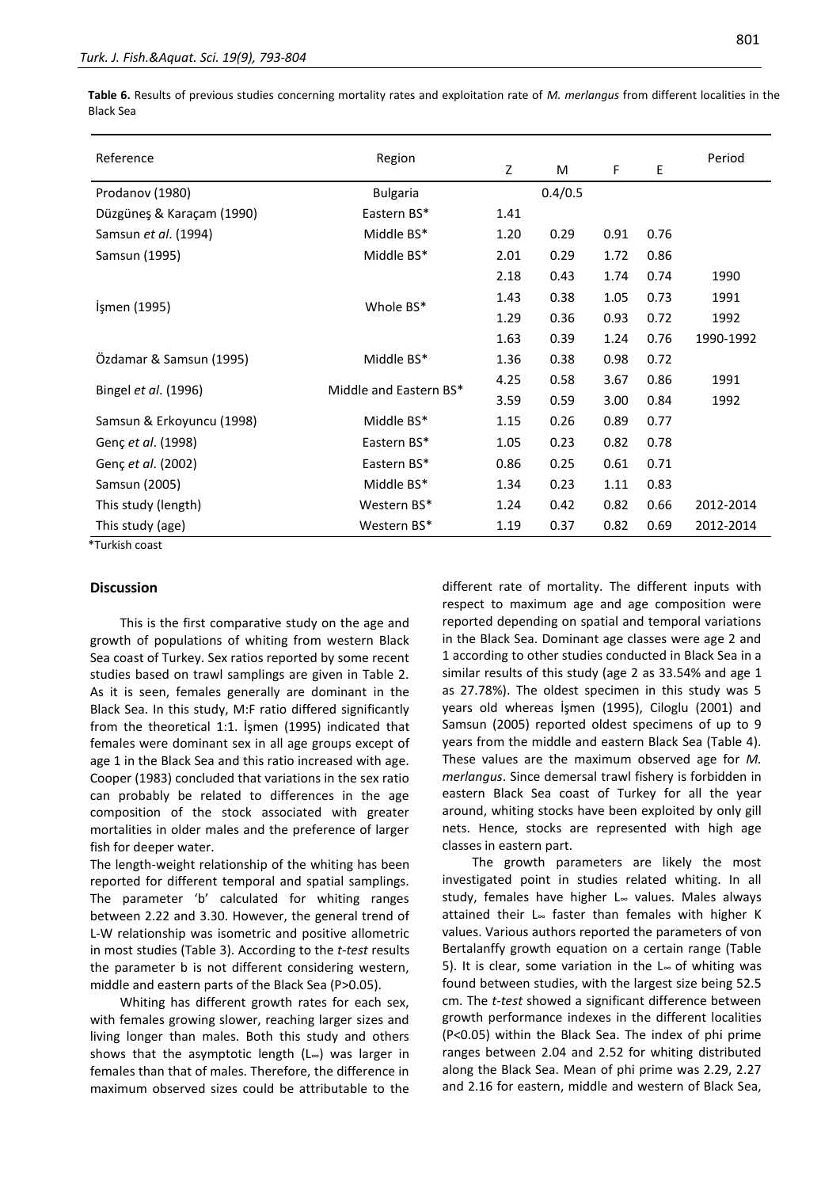**Table 6.** Results of previous studies concerning mortality rates and exploitation rate of *M. merlangus* from different localities in the Black Sea

| Reference                 | Region                 | Z    | M       | F    | E    | Period    |
|---------------------------|------------------------|------|---------|------|------|-----------|
| Prodanov (1980)           | <b>Bulgaria</b>        |      | 0.4/0.5 |      |      |           |
| Düzgüneş & Karaçam (1990) | Eastern BS*            | 1.41 |         |      |      |           |
| Samsun et al. (1994)      | Middle BS*             | 1.20 | 0.29    | 0.91 | 0.76 |           |
| Samsun (1995)             | Middle BS*             | 2.01 | 0.29    | 1.72 | 0.86 |           |
|                           |                        | 2.18 | 0.43    | 1.74 | 0.74 | 1990      |
|                           |                        | 1.43 | 0.38    | 1.05 | 0.73 | 1991      |
| Işmen (1995)              | Whole BS*              | 1.29 | 0.36    | 0.93 | 0.72 | 1992      |
|                           |                        | 1.63 | 0.39    | 1.24 | 0.76 | 1990-1992 |
| Özdamar & Samsun (1995)   | Middle BS*             | 1.36 | 0.38    | 0.98 | 0.72 |           |
|                           |                        | 4.25 | 0.58    | 3.67 | 0.86 | 1991      |
| Bingel et al. (1996)      | Middle and Eastern BS* | 3.59 | 0.59    | 3.00 | 0.84 | 1992      |
| Samsun & Erkoyuncu (1998) | Middle BS*             | 1.15 | 0.26    | 0.89 | 0.77 |           |
| Genç et al. (1998)        | Eastern BS*            | 1.05 | 0.23    | 0.82 | 0.78 |           |
| Genç et al. (2002)        | Eastern BS*            | 0.86 | 0.25    | 0.61 | 0.71 |           |
| Samsun (2005)             | Middle BS*             | 1.34 | 0.23    | 1.11 | 0.83 |           |
| This study (length)       | Western BS*            | 1.24 | 0.42    | 0.82 | 0.66 | 2012-2014 |
| This study (age)          | Western BS*            | 1.19 | 0.37    | 0.82 | 0.69 | 2012-2014 |

\*Turkish coast

#### **Discussion**

This is the first comparative study on the age and growth of populations of whiting from western Black Sea coast of Turkey. Sex ratios reported by some recent studies based on trawl samplings are given in Table 2. As it is seen, females generally are dominant in the Black Sea. In this study, M:F ratio differed significantly from the theoretical 1:1. İşmen (1995) indicated that females were dominant sex in all age groups except of age 1 in the Black Sea and this ratio increased with age. Cooper (1983) concluded that variations in the sex ratio can probably be related to differences in the age composition of the stock associated with greater mortalities in older males and the preference of larger fish for deeper water.

The length-weight relationship of the whiting has been reported for different temporal and spatial samplings. The parameter 'b' calculated for whiting ranges between 2.22 and 3.30. However, the general trend of L-W relationship was isometric and positive allometric in most studies (Table 3). According to the *t-test* results the parameter b is not different considering western, middle and eastern parts of the Black Sea (P>0.05).

Whiting has different growth rates for each sex, with females growing slower, reaching larger sizes and living longer than males. Both this study and others shows that the asymptotic length (L∞) was larger in females than that of males. Therefore, the difference in maximum observed sizes could be attributable to the different rate of mortality. The different inputs with respect to maximum age and age composition were reported depending on spatial and temporal variations in the Black Sea. Dominant age classes were age 2 and 1 according to other studies conducted in Black Sea in a similar results of this study (age 2 as 33.54% and age 1 as 27.78%). The oldest specimen in this study was 5 years old whereas İşmen (1995), Ciloglu (2001) and Samsun (2005) reported oldest specimens of up to 9 years from the middle and eastern Black Sea (Table 4). These values are the maximum observed age for *M. merlangus*. Since demersal trawl fishery is forbidden in eastern Black Sea coast of Turkey for all the year around, whiting stocks have been exploited by only gill nets. Hence, stocks are represented with high age classes in eastern part.

The growth parameters are likely the most investigated point in studies related whiting. In all study, females have higher L<sup>∞</sup> values. Males always attained their L<sup>∞</sup> faster than females with higher K values. Various authors reported the parameters of von Bertalanffy growth equation on a certain range (Table 5). It is clear, some variation in the L∞ of whiting was found between studies, with the largest size being 52.5 cm. The *t-test* showed a significant difference between growth performance indexes in the different localities (P<0.05) within the Black Sea. The index of phi prime ranges between 2.04 and 2.52 for whiting distributed along the Black Sea. Mean of phi prime was 2.29, 2.27 and 2.16 for eastern, middle and western of Black Sea,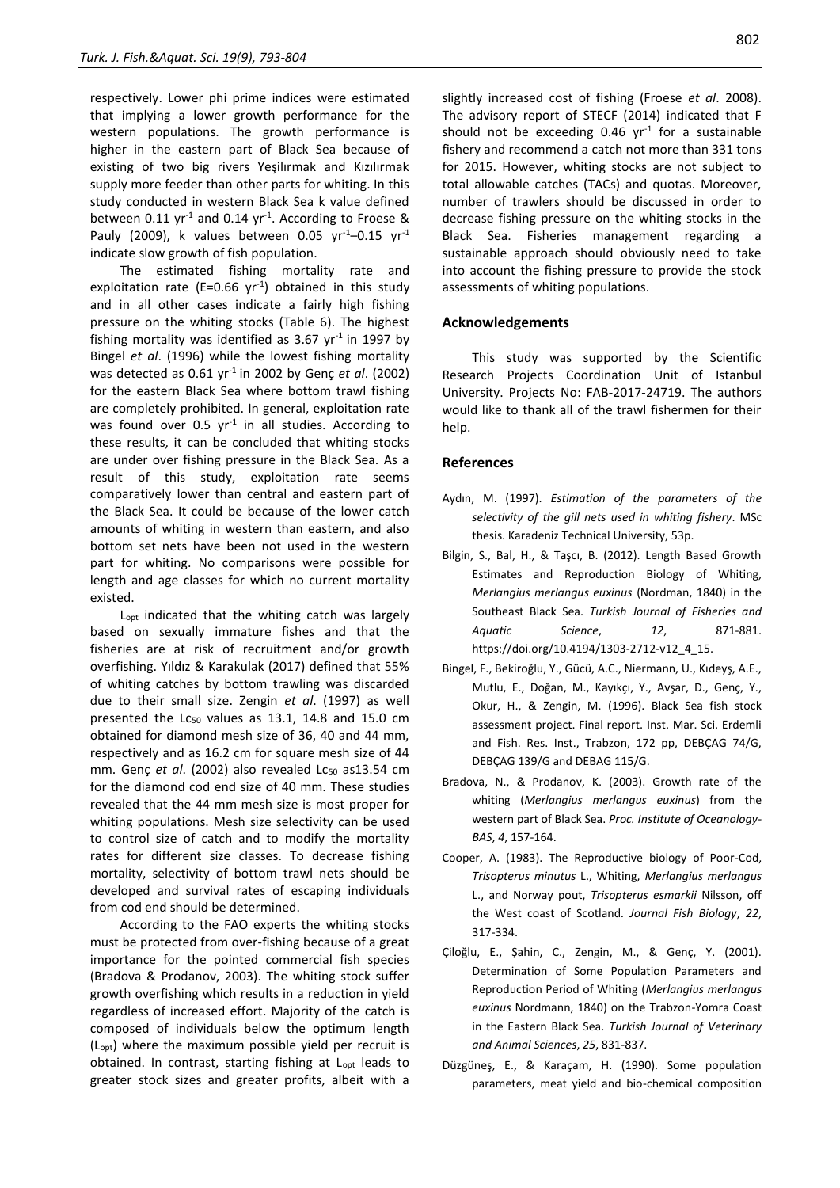respectively. Lower phi prime indices were estimated that implying a lower growth performance for the western populations. The growth performance is higher in the eastern part of Black Sea because of existing of two big rivers Yeşilırmak and Kızılırmak supply more feeder than other parts for whiting. In this study conducted in western Black Sea k value defined between 0.11  $yr^{-1}$  and 0.14  $yr^{-1}$ . According to Froese & Pauly (2009), k values between 0.05  $yr^{-1}$ –0.15  $yr^{-1}$ indicate slow growth of fish population.

The estimated fishing mortality rate and exploitation rate (E=0.66  $yr^{-1}$ ) obtained in this study and in all other cases indicate a fairly high fishing pressure on the whiting stocks (Table 6). The highest fishing mortality was identified as 3.67  $yr<sup>-1</sup>$  in 1997 by Bingel *et al*. (1996) while the lowest fishing mortality was detected as 0.61 yr-1 in 2002 by Genç *et al*. (2002) for the eastern Black Sea where bottom trawl fishing are completely prohibited. In general, exploitation rate was found over  $0.5$  yr<sup>-1</sup> in all studies. According to these results, it can be concluded that whiting stocks are under over fishing pressure in the Black Sea. As a result of this study, exploitation rate seems comparatively lower than central and eastern part of the Black Sea. It could be because of the lower catch amounts of whiting in western than eastern, and also bottom set nets have been not used in the western part for whiting. No comparisons were possible for length and age classes for which no current mortality existed.

L<sub>opt</sub> indicated that the whiting catch was largely based on sexually immature fishes and that the fisheries are at risk of recruitment and/or growth overfishing. Yıldız & Karakulak (2017) defined that 55% of whiting catches by bottom trawling was discarded due to their small size. Zengin *et al*. (1997) as well presented the  $Lc_{50}$  values as 13.1, 14.8 and 15.0 cm obtained for diamond mesh size of 36, 40 and 44 mm, respectively and as 16.2 cm for square mesh size of 44 mm. Genç et al. (2002) also revealed Lc<sub>50</sub> as13.54 cm for the diamond cod end size of 40 mm. These studies revealed that the 44 mm mesh size is most proper for whiting populations. Mesh size selectivity can be used to control size of catch and to modify the mortality rates for different size classes. To decrease fishing mortality, selectivity of bottom trawl nets should be developed and survival rates of escaping individuals from cod end should be determined.

According to the FAO experts the whiting stocks must be protected from over-fishing because of a great importance for the pointed commercial fish species (Bradova & Prodanov, 2003). The whiting stock suffer growth overfishing which results in a reduction in yield regardless of increased effort. Majority of the catch is composed of individuals below the optimum length (Lopt) where the maximum possible yield per recruit is obtained. In contrast, starting fishing at L<sub>opt</sub> leads to greater stock sizes and greater profits, albeit with a slightly increased cost of fishing (Froese *et al*. 2008). The advisory report of STECF (2014) indicated that F should not be exceeding  $0.46$  yr<sup>-1</sup> for a sustainable fishery and recommend a catch not more than 331 tons for 2015. However, whiting stocks are not subject to total allowable catches (TACs) and quotas. Moreover, number of trawlers should be discussed in order to decrease fishing pressure on the whiting stocks in the Black Sea. Fisheries management regarding a sustainable approach should obviously need to take into account the fishing pressure to provide the stock assessments of whiting populations.

# **Acknowledgements**

This study was supported by the Scientific Research Projects Coordination Unit of Istanbul University. Projects No: FAB-2017-24719. The authors would like to thank all of the trawl fishermen for their help.

#### **References**

- Aydın, M. (1997). *Estimation of the parameters of the selectivity of the gill nets used in whiting fishery*. MSc thesis. Karadeniz Technical University, 53p.
- Bilgin, S., Bal, H., & Taşcı, B. (2012). Length Based Growth Estimates and Reproduction Biology of Whiting, *Merlangius merlangus euxinus* (Nordman, 1840) in the Southeast Black Sea. *Turkish Journal of Fisheries and Aquatic Science*, *12*, 871-881. [https://doi.org/10.4194/1303-2712-v12\\_4\\_15.](https://doi.org/10.4194/1303-2712-v12_4_15)
- Bingel, F., Bekiroğlu, Y., Gücü, A.C., Niermann, U., Kıdeyş, A.E., Mutlu, E., Doğan, M., Kayıkçı, Y., Avşar, D., Genç, Y., Okur, H., & Zengin, M. (1996). Black Sea fish stock assessment project. Final report. Inst. Mar. Sci. Erdemli and Fish. Res. Inst., Trabzon, 172 pp, DEBÇAG 74/G, DEBÇAG 139/G and DEBAG 115/G.
- Bradova, N., & Prodanov, K. (2003). Growth rate of the whiting (*Merlangius merlangus euxinus*) from the western part of Black Sea. *Proc. Institute of Oceanology-BAS*, *4*, 157-164.
- Cooper, A. (1983). The Reproductive biology of Poor-Cod, *Trisopterus minutus* L., Whiting, *Merlangius merlangus* L., and Norway pout, *Trisopterus esmarkii* Nilsson, off the West coast of Scotland*. Journal Fish Biology*, *22*, 317-334.
- Çiloğlu, E., Şahin, C., Zengin, M., & Genç, Y. (2001). Determination of Some Population Parameters and Reproduction Period of Whiting (*Merlangius merlangus euxinus* Nordmann, 1840) on the Trabzon-Yomra Coast in the Eastern Black Sea. *Turkish Journal of Veterinary and Animal Sciences*, *25*, 831-837.
- Düzgüneş, E., & Karaçam, H. (1990). Some population parameters, meat yield and bio-chemical composition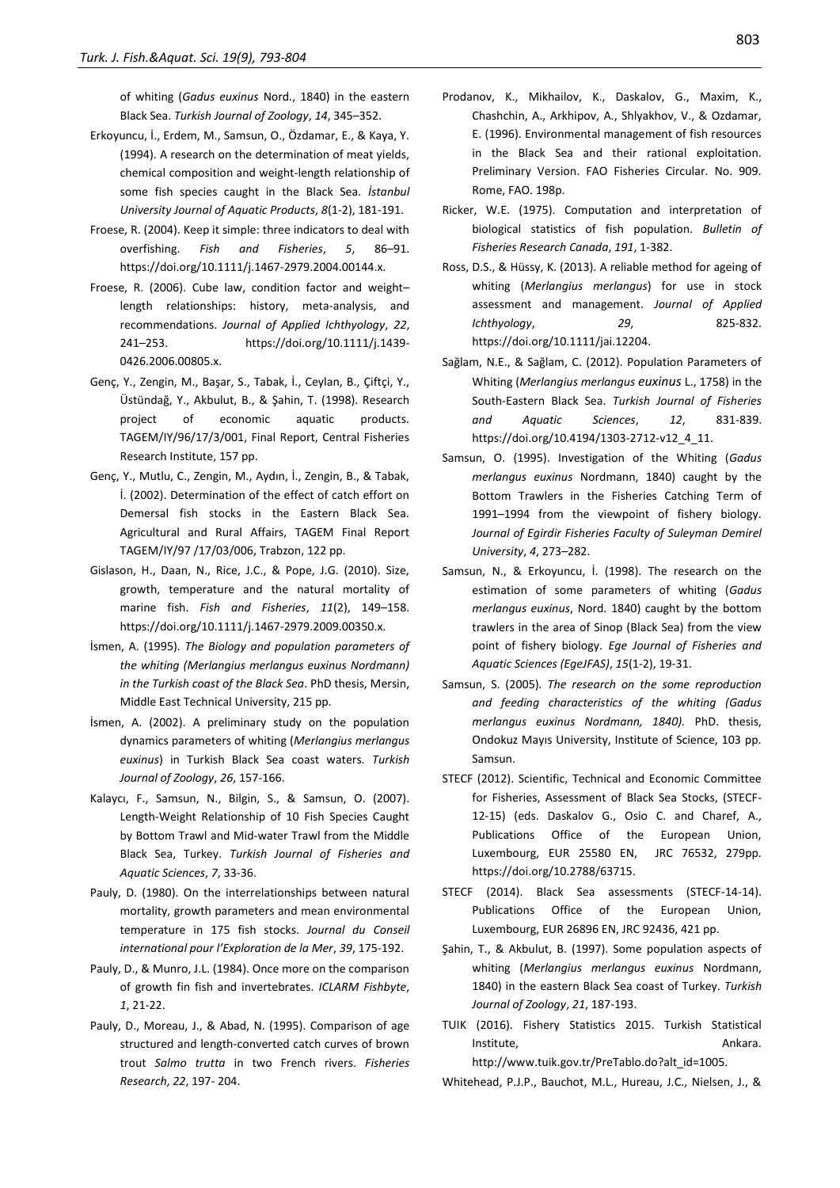of whiting (*Gadus euxinus* Nord., 1840) in the eastern Black Sea. *Turkish Journal of Zoology*, *14*, 345–352.

- Erkoyuncu, İ., Erdem, M., Samsun, O., Özdamar, E., & Kaya, Y. (1994). A research on the determination of meat yields, chemical composition and weight-length relationship of some fish species caught in the Black Sea. *İstanbul University Journal of Aquatic Products*, *8*(1-2), 181-191.
- Froese, R. (2004). Keep it simple: three indicators to deal with overfishing. *Fish and Fisheries*, *5*, 86–91. [https://doi.org/10.1111/j.1467-2979.2004.00144.x.](https://doi.org/10.1111/j.1467-2979.2004.00144.x)
- Froese, R. (2006). Cube law, condition factor and weight– length relationships: history, meta-analysis, and recommendations. *Journal of Applied Ichthyology*, *22*, 241–253. [https://doi.org/10.1111/j.1439-](https://doi.org/10.1111/j.1439-0426.2006.00805.x) [0426.2006.00805.x.](https://doi.org/10.1111/j.1439-0426.2006.00805.x)
- Genç, Y., Zengin, M., Başar, S., Tabak, İ., Ceylan, B., Çiftçi, Y., Üstündağ, Y., Akbulut, B., & Şahin, T. (1998). Research project of economic aquatic products. TAGEM/IY/96/17/3/001, Final Report, Central Fisheries Research Institute, 157 pp.
- Genç, Y., Mutlu, C., Zengin, M., Aydın, İ., Zengin, B., & Tabak, İ. (2002). Determination of the effect of catch effort on Demersal fish stocks in the Eastern Black Sea. Agricultural and Rural Affairs, TAGEM Final Report TAGEM/IY/97 /17/03/006, Trabzon, 122 pp.
- Gislason, H., Daan, N., Rice, J.C., & Pope, J.G. (2010). Size, growth, temperature and the natural mortality of marine fish. *Fish and Fisheries*, *11*(2), 149–158. [https://doi.org/10.1111/j.1467-2979.2009.00350.x.](https://doi.org/10.1111/j.1467-2979.2009.00350.x)
- İsmen, A. (1995). *The Biology and population parameters of the whiting (Merlangius merlangus euxinus Nordmann) in the Turkish coast of the Black Sea*. PhD thesis, Mersin, Middle East Technical University, 215 pp.
- İsmen, A. (2002). A preliminary study on the population dynamics parameters of whiting (*Merlangius merlangus euxinus*) in Turkish Black Sea coast waters. *Turkish Journal of Zoology*, *26*, 157-166.
- Kalaycı, F., Samsun, N., Bilgin, S., & Samsun, O. (2007). Length-Weight Relationship of 10 Fish Species Caught by Bottom Trawl and Mid-water Trawl from the Middle Black Sea, Turkey. *Turkish Journal of Fisheries and Aquatic Sciences*, *7*, 33-36.
- Pauly, D. (1980). On the interrelationships between natural mortality, growth parameters and mean environmental temperature in 175 fish stocks. *Journal du Conseil international pour l'Exploration de la Mer*, *39*, 175-192.
- Pauly, D., & Munro, J.L. (1984). Once more on the comparison of growth fin fish and invertebrates. *ICLARM Fishbyte*, *1*, 21-22.
- Pauly, D., Moreau, J., & Abad, N. (1995). Comparison of age structured and length-converted catch curves of brown trout *Salmo trutta* in two French rivers. *Fisheries Research*, *22*, 197- 204.
- Prodanov, K., Mikhailov, K., Daskalov, G., Maxim, K., Chashchin, A., Arkhipov, A., Shlyakhov, V., & Ozdamar, E. (1996). Environmental management of fish resources in the Black Sea and their rational exploitation. Preliminary Version. FAO Fisheries Circular. No. 909. Rome, FAO. 198p.
- Ricker, W.E. (1975). Computation and interpretation of biological statistics of fish population. *Bulletin of Fisheries Research Canada*, *191*, 1-382.
- Ross, D.S., & Hüssy, K. (2013). A reliable method for ageing of whiting (*Merlangius merlangus*) for use in stock assessment and management. *Journal of Applied Ichthyology*, *29*, 825-832. [https://doi.org/10.1111/jai.12204.](https://doi.org/10.1111/jai.12204)
- Sağlam, N.E., & Sağlam, C. (2012). Population Parameters of Whiting (*Merlangius merlangus euxinus* L., 1758) in the South-Eastern Black Sea. *Turkish Journal of Fisheries and Aquatic Sciences*, *12*, 831-839. [https://doi.org/10.4194/1303-2712-v12\\_4\\_11.](https://doi.org/10.4194/1303-2712-v12_4_11)
- Samsun, O. (1995). Investigation of the Whiting (*Gadus merlangus euxinus* Nordmann, 1840) caught by the Bottom Trawlers in the Fisheries Catching Term of 1991–1994 from the viewpoint of fishery biology. *Journal of Egirdir Fisheries Faculty of Suleyman Demirel University*, *4*, 273–282.
- Samsun, N., & Erkoyuncu, İ. (1998). The research on the estimation of some parameters of whiting (*Gadus merlangus euxinus*, Nord. 1840) caught by the bottom trawlers in the area of Sinop (Black Sea) from the view point of fishery biology. *Ege Journal of Fisheries and Aquatic Sciences (EgeJFAS)*, *15*(1-2), 19-31.
- Samsun, S. (2005)*. The research on the some reproduction and feeding characteristics of the whiting (Gadus merlangus euxinus Nordmann, 1840).* PhD. thesis, Ondokuz Mayıs University, Institute of Science, 103 pp. Samsun.
- STECF (2012). Scientific, Technical and Economic Committee for Fisheries, Assessment of Black Sea Stocks, (STECF-12-15) (eds. Daskalov G., Osio C. and Charef, A., Publications Office of the European Union, Luxembourg, EUR 25580 EN, JRC 76532, 279pp. [https://doi.org/10.2788/63715.](https://doi.org/10.2788/63715)
- STECF (2014). Black Sea assessments (STECF-14-14). Publications Office of the European Union, Luxembourg, EUR 26896 EN, JRC 92436, 421 pp.
- Şahin, T., & Akbulut, B. (1997). Some population aspects of whiting (*Merlangius merlangus euxinus* Nordmann, 1840) in the eastern Black Sea coast of Turkey. *Turkish Journal of Zoology*, *21*, 187-193.
- TUIK (2016). Fishery Statistics 2015. Turkish Statistical Institute. **Ankara.** Ankara. http://www.tuik.gov.tr/PreTablo.do?alt\_id=1005.

Whitehead, P.J.P., Bauchot, M.L., Hureau, J.C., Nielsen, J., &